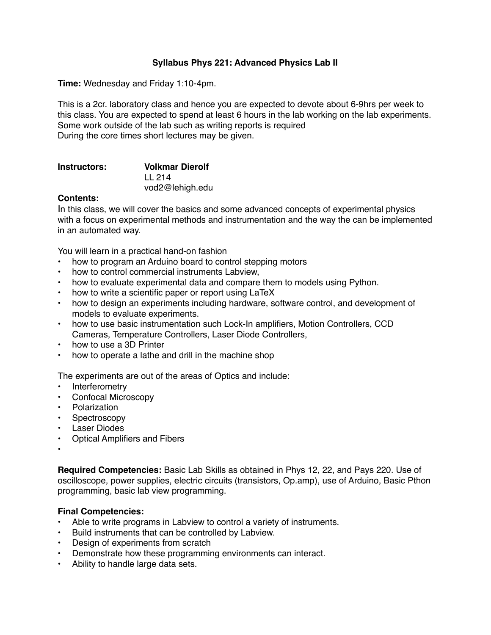### **Syllabus Phys 221: Advanced Physics Lab II**

**Time:** Wednesday and Friday 1:10-4pm.

This is a 2cr. laboratory class and hence you are expected to devote about 6-9hrs per week to this class. You are expected to spend at least 6 hours in the lab working on the lab experiments. Some work outside of the lab such as writing reports is required During the core times short lectures may be given.

| Instructors: | <b>Volkmar Dierolf</b> |
|--------------|------------------------|
|              | II 214                 |
|              | vod2@lehigh.edu        |

## **Contents:**

In this class, we will cover the basics and some advanced concepts of experimental physics with a focus on experimental methods and instrumentation and the way the can be implemented in an automated way.

You will learn in a practical hand-on fashion

- how to program an Arduino board to control stepping motors
- how to control commercial instruments Labview,
- how to evaluate experimental data and compare them to models using Python.
- how to write a scientific paper or report using LaTeX
- how to design an experiments including hardware, software control, and development of models to evaluate experiments.
- how to use basic instrumentation such Lock-In amplifiers, Motion Controllers, CCD Cameras, Temperature Controllers, Laser Diode Controllers,
- how to use a 3D Printer
- how to operate a lathe and drill in the machine shop

The experiments are out of the areas of Optics and include:

- Interferometry
- Confocal Microscopy
- Polarization
- Spectroscopy
- Laser Diodes
- Optical Amplifiers and Fibers
- •

**Required Competencies:** Basic Lab Skills as obtained in Phys 12, 22, and Pays 220. Use of oscilloscope, power supplies, electric circuits (transistors, Op.amp), use of Arduino, Basic Pthon programming, basic lab view programming.

#### **Final Competencies:**

- **•** Able to write programs in Labview to control a variety of instruments.
- **•** Build instruments that can be controlled by Labview.
- **•** Design of experiments from scratch
- **•** Demonstrate how these programming environments can interact.
- **•** Ability to handle large data sets.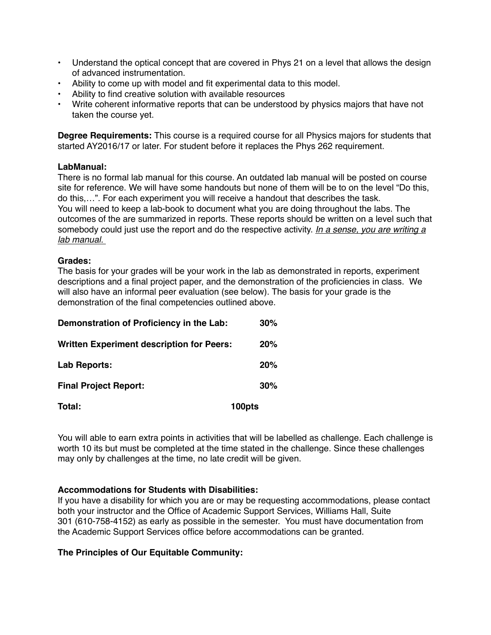- **•** Understand the optical concept that are covered in Phys 21 on a level that allows the design of advanced instrumentation.
- **•** Ability to come up with model and fit experimental data to this model.
- **•** Ability to find creative solution with available resources
- **•** Write coherent informative reports that can be understood by physics majors that have not taken the course yet.

**Degree Requirements:** This course is a required course for all Physics majors for students that started AY2016/17 or later. For student before it replaces the Phys 262 requirement.

#### **LabManual:**

There is no formal lab manual for this course. An outdated lab manual will be posted on course site for reference. We will have some handouts but none of them will be to on the level "Do this, do this,…". For each experiment you will receive a handout that describes the task. You will need to keep a lab-book to document what you are doing throughout the labs. The outcomes of the are summarized in reports. These reports should be written on a level such that somebody could just use the report and do the respective activity. *In a sense, you are writing a lab manual.* 

#### **Grades:**

The basis for your grades will be your work in the lab as demonstrated in reports, experiment descriptions and a final project paper, and the demonstration of the proficiencies in class. We will also have an informal peer evaluation (see below). The basis for your grade is the demonstration of the final competencies outlined above.

| Demonstration of Proficiency in the Lab:         | $30\%$ |
|--------------------------------------------------|--------|
| <b>Written Experiment description for Peers:</b> | 20%    |
| Lab Reports:                                     | 20%    |
| <b>Final Project Report:</b>                     | $30\%$ |
| Total:                                           | 100pts |

You will able to earn extra points in activities that will be labelled as challenge. Each challenge is worth 10 its but must be completed at the time stated in the challenge. Since these challenges may only by challenges at the time, no late credit will be given.

#### **Accommodations for Students with Disabilities:**

If you have a disability for which you are or may be requesting accommodations, please contact both your instructor and the Office of Academic Support Services, Williams Hall, Suite 301 (610-758-4152) as early as possible in the semester. You must have documentation from the Academic Support Services office before accommodations can be granted.

# **The Principles of Our Equitable Community:**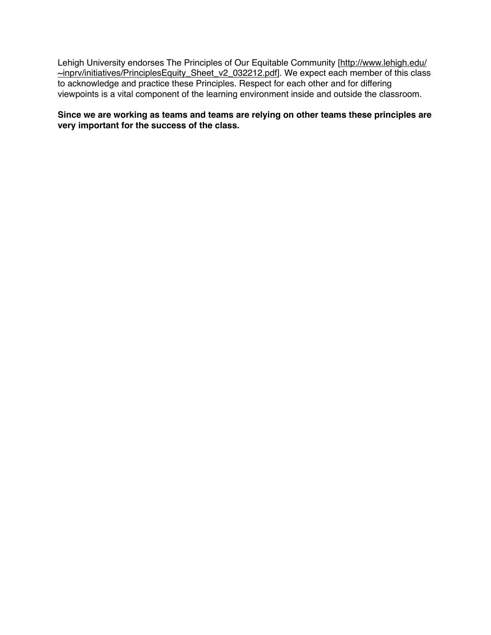Lehigh University endorses The Principles of Our Equitable Community [[http://www.lehigh.edu/](http://www.lehigh.edu/~inprv/initiatives/PrinciplesEquity_Sheet_v2_032212.pdf) [~inprv/initiatives/PrinciplesEquity\\_Sheet\\_v2\\_032212.pdf\]](http://www.lehigh.edu/~inprv/initiatives/PrinciplesEquity_Sheet_v2_032212.pdf). We expect each member of this class to acknowledge and practice these Principles. Respect for each other and for differing viewpoints is a vital component of the learning environment inside and outside the classroom.

#### **Since we are working as teams and teams are relying on other teams these principles are very important for the success of the class.**